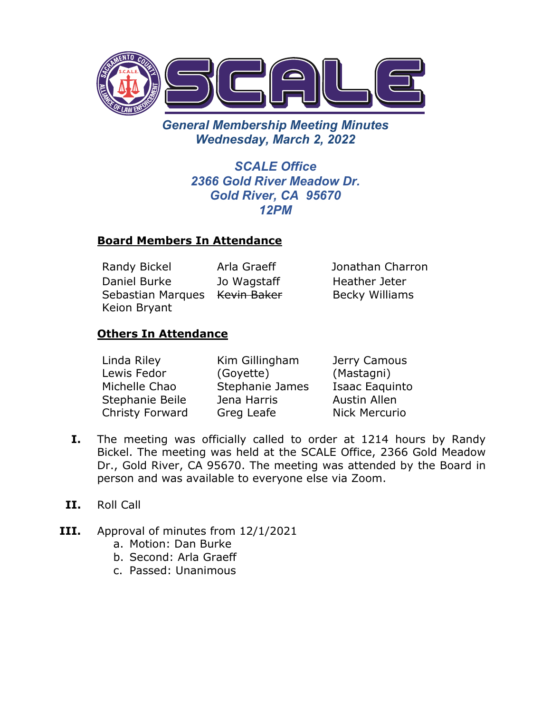

*General Membership Meeting Minutes Wednesday, March 2, 2022* 

> *SCALE Office 2366 Gold River Meadow Dr. Gold River, CA 95670 12PM*

#### **Board Members In Attendance**

Randy Bickel Arla Graeff Jonathan Charron Daniel Burke Sebastian Marques Ke<del>vin Baker</del> Keion Bryant Jo Wagstaff

Heather Jeter Becky Williams

## **Others In Attendance**

| Linda Riley     | Kim Gillingham  | Jerry Camous          |
|-----------------|-----------------|-----------------------|
| Lewis Fedor     | (Goyette)       | (Mastagni)            |
| Michelle Chao   | Stephanie James | <b>Isaac Eaquinto</b> |
| Stephanie Beile | Jena Harris     | <b>Austin Allen</b>   |
| Christy Forward | Greg Leafe      | Nick Mercurio         |

- **I.** The meeting was officially called to order at 1214 hours by Randy Bickel. The meeting was held at the SCALE Office, 2366 Gold Meadow Dr., Gold River, CA 95670. The meeting was attended by the Board in person and was available to everyone else via Zoom.
- **II.** Roll Call
- **III.** Approval of minutes from 12/1/2021
	- a. Motion: Dan Burke
	- b. Second: Arla Graeff
	- c. Passed: Unanimous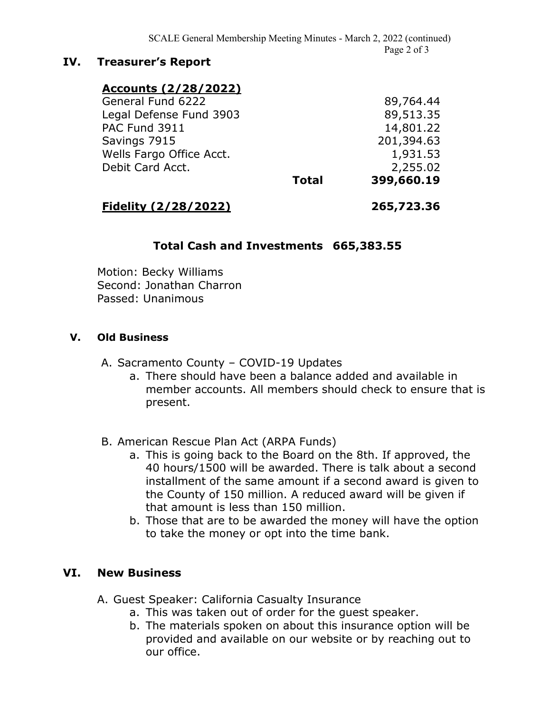### **IV. Treasurer's Report**

| <b>Accounts (2/28/2022)</b> |              |            |
|-----------------------------|--------------|------------|
| General Fund 6222           |              | 89,764.44  |
| Legal Defense Fund 3903     |              | 89,513.35  |
| PAC Fund 3911               |              | 14,801.22  |
| Savings 7915                |              | 201,394.63 |
| Wells Fargo Office Acct.    |              | 1,931.53   |
| Debit Card Acct.            |              | 2,255.02   |
|                             | <b>Total</b> | 399,660.19 |

# **Fidelity (2/28/2022) 265,723.36**

#### **Total Cash and Investments 665,383.55**

Motion: Becky Williams Second: Jonathan Charron Passed: Unanimous

#### **V. Old Business**

A. Sacramento County – COVID-19 Updates

- a. There should have been a balance added and available in member accounts. All members should check to ensure that is present.
- B. American Rescue Plan Act (ARPA Funds)
	- a. This is going back to the Board on the 8th. If approved, the 40 hours/1500 will be awarded. There is talk about a second installment of the same amount if a second award is given to the County of 150 million. A reduced award will be given if that amount is less than 150 million.
	- b. Those that are to be awarded the money will have the option to take the money or opt into the time bank.

## **VI. New Business**

- A. Guest Speaker: California Casualty Insurance
	- a. This was taken out of order for the guest speaker.
	- b. The materials spoken on about this insurance option will be provided and available on our website or by reaching out to our office.